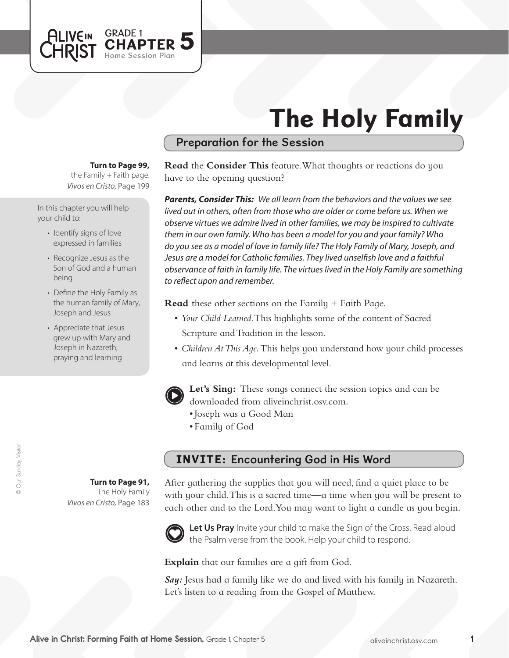

## Preparation for the Session

#### **Turn to Page 99,**

GRADE 1<br>CHAPTER 5

Home Session Plan

*Vivos en Cristo,* Page 199 the Family  $+$  Faith page.

In this chapter you will help your child to:

**ALIVEIN LHRIST** 

- Identify signs of love expressed in families
- Recognize Jesus as the Son of God and a human being
- Define the Holy Family as the human family of Mary, Joseph and Jesus
- Appreciate that Jesus grew up with Mary and Joseph in Nazareth, praying and learning

**Turn to Page 91,** The Holy Family

*Vivos en Cristo,* Page 183

**Read** the **Consider This** feature. What thoughts or reactions do you have to the opening question?

*Parents, Consider This: We all learn from the behaviors and the values we see lived out in others, often from those who are older or come before us. When we observe virtues we admire lived in other families, we may be inspired to cultivate them in our own family. Who has been a model for you and your family? Who do you see as a model of love in family life? The Holy Family of Mary, Joseph, and Jesus are a model for Catholic families. They lived unselfish love and a faithful observance of faith in family life. The virtues lived in the Holy Family are something to reflect upon and remember.*

**Read** these other sections on the Family + Faith Page.

- • *Your Child Learned*. This highlights some of the content of Sacred Scripture and Tradition in the lesson.
- *Children At This Aqe*. This helps you understand how your child processes and learns at this developmental level.



**Let's Sing:** These songs connect the session topics and can be downloaded from aliveinchrist.osv.com.

- • Joseph was a Good Man
- Family of God

# INVITE: Encountering God in His Word

After gathering the supplies that you will need, find a quiet place to be with your child. This is a sacred time—a time when you will be present to each other and to the Lord. You may want to light a candle as you begin.



Let Us Pray Invite your child to make the Sign of the Cross. Read aloud the Psalm verse from the book. Help your child to respond.

**Explain** that our families are a gift from God.

*Say:* Jesus had a family like we do and lived with his family in Nazareth. Let's listen to a reading from the Gospel of Matthew.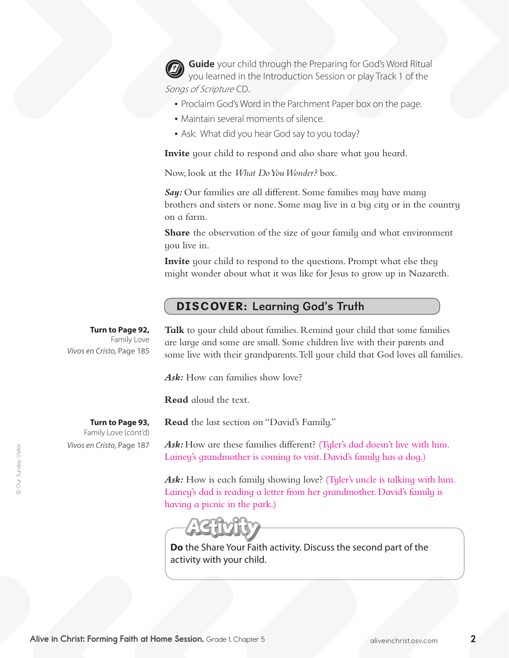**Guide** your child through the Preparing for God's Word Ritual you learned in the Introduction Session or play Track 1 of the Songs of Scripture CD.

- Proclaim God's Word in the Parchment Paper box on the page.
- Maintain several moments of silence.
- Ask: What did you hear God say to you today?

**Invite** your child to respond and also share what you heard.

Now, look at the *What Do You Wonder?* box.

*Say:* Our families are all different. Some families may have many brothers and sisters or none. Some may live in a big city or in the country on a farm.

**Share** the observation of the size of your family and what environment you live in.

**Invite** your child to respond to the questions. Prompt what else they might wonder about what it was like for Jesus to grow up in Nazareth.

# DISCOVER: Learning God's Truth

**Turn to Page 92,** Family Love *Vivos en Cristo,* Page 185 Talk to your child about families. Remind your child that some families are large and some are small. Some children live with their parents and some live with their grandparents.Tell your child that God loves all families.

*Ask:* How can families show love?

Family Love (cont'd)

*Vivos en Cristo,* Page 187

**Read** the last section on "David's Family."

**Read** aloud the text.

**Turn to Page 93,** 

Ask: How are these families different? (Tyler's dad doesn't live with him. Lainey's grandmother is coming to visit. David's family has a dog.)

Ask: How is each family showing love? (Tyler's uncle is talking with him. Lainey's dad is reading a letter from her grandmother. David's family is having a picnic in the park.)



**Do** the Share Your Faith activity. Discuss the second part of the activity with your child.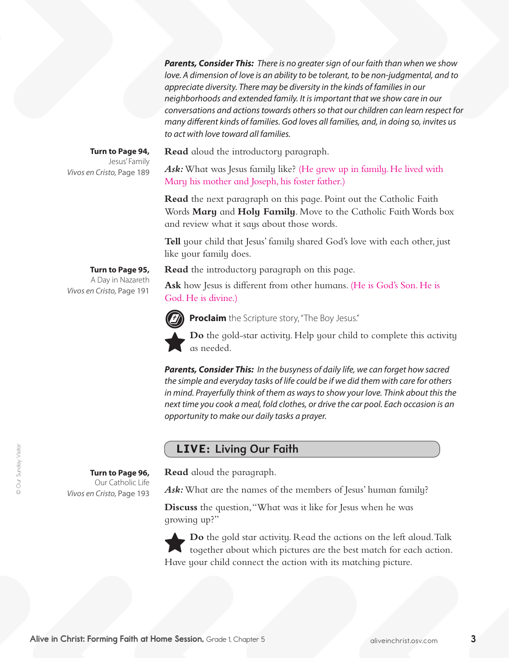*Parents, Consider This: There is no greater sign of our faith than when we show love. A dimension of love is an ability to be tolerant, to be non-judgmental, and to appreciate diversity. There may be diversity in the kinds of families in our neighborhoods and extended family. It is important that we show care in our conversations and actions towards others so that our children can learn respect for many different kinds of families. God loves all families, and, in doing so, invites us to act with love toward all families.*

**Read** aloud the introductory paragraph.

Ask: What was Jesus family like? (He grew up in family. He lived with Mary his mother and Joseph, his foster father.)

**Read** the next paragraph on this page. Point out the Catholic Faith Words **Mary** and **Holy Family**. Move to the Catholic Faith Words box and review what it says about those words.

**Tell** your child that Jesus' family shared God's love with each other, just like your family does.

**Read** the introductory paragraph on this page.

**Ask** how Jesus is different from other humans. (He is God's Son.He is God. He is divine.)



**Proclaim** the Scripture story, "The Boy Jesus."

**Do** the gold-star activity. Help your child to complete this activity as needed.

*Parents, Consider This: In the busyness of daily life, we can forget how sacred the simple and everyday tasks of life could be if we did them with care for others in mind. Prayerfully think of them as ways to show your love. Think about this the next time you cook a meal, fold clothes, or drive the car pool. Each occasion is an opportunity to make our daily tasks a prayer.*

# LIVE: Living Our Faith

**Read** aloud the paragraph.

Ask: What are the names of the members of Jesus' human family?

**Discuss** the question,"What was it like for Jesus when he was growing up?"

**Do** the gold star activity. Read the actions on the left aloud. Talk together about which pictures are the best match for each action. Have your child connect the action with its matching picture.

**Turn to Page 94,** Jesus' Family *Vivos en Cristo,* Page 189

> **Turn to Page 95,** A Day in Nazareth

*Vivos en Cristo,* Page 191

*Vivos en Cristo,* Page 193

**Turn to Page 96,**  Our Catholic Life